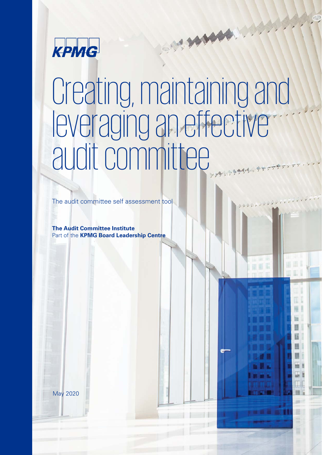

# Creating, maintaining and leveraging an effective audit committee

HAN

The audit committee self assessment tool

**The Audit Committee Institute**  Part of the **KPMG Board Leadership Centre** 

affiliated with KPMG International Cooperative ("KPMG International"), a Swiss entity. All rights reserved. 1

May 2020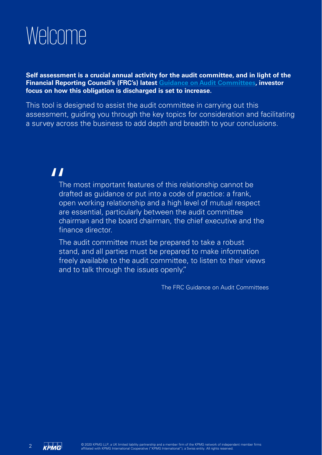## Welcome

**Self assessment is a crucial annual activity for the audit committee, and in light of the Financial Reporting Council's (FRC's) latest Guidance on Audit Committees, investor focus on how this obligation is discharged is set to increase.** 

This tool is designed to assist the audit committee in carrying out this assessment, guiding you through the key topics for consideration and facilitating a survey across the business to add depth and breadth to your conclusions.

## "

The most important features of this relationship cannot be drafted as guidance or put into a code of practice: a frank, open working relationship and a high level of mutual respect are essential, particularly between the audit committee chairman and the board chairman, the chief executive and the finance director.

The audit committee must be prepared to take a robust stand, and all parties must be prepared to make information freely available to the audit committee, to listen to their views and to talk through the issues openly."

The FRC Guidance on Audit Committees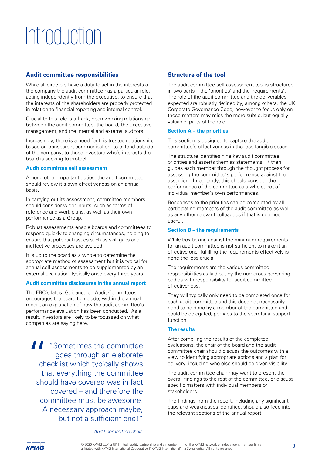## Introduction

## **Audit committee responsibilities**

While all directors have a duty to act in the interests of the company the audit committee has a particular role, acting independently from the executive, to ensure that the interests of the shareholders are properly protected in relation to financial reporting and internal control.

Crucial to this role is a frank, open working relationship between the audit committee, the board, the executive management, and the internal and external auditors.

Increasingly, there is a need for this trusted relationship, based on transparent communication, to extend outside of the company, to those investors who's interests the board is seeking to protect.

### **Audit committee self assessment**

Among other important duties, the audit committee should review it's own effectiveness on an annual basis.

In carrying out its assessment, committee members should consider wider inputs, such as terms of reference and work plans, as well as their own performance as a Group.

Robust assessments enable boards and committees to respond quickly to changing circumstances, helping to ensure that potential issues such as skill gaps and ineffective processes are avoided.

It is up to the board as a whole to determine the appropriate method of assessment but it is typical for annual self assessments to be supplemented by an external evaluation, typically once every three years.

### **Audit committee disclosures in the annual report**

The FRC's latest Guidance on Audit Committees encourages the board to include, within the annual report, an explanation of how the audit committee's performance evaluation has been conducted. As a result, investors are likely to be focussed on what companies are saying here.

**11** "Sometimes the committee goes through an elaborate checklist which typically shows that everything the committee should have covered was in fact covered – and therefore the committee must be awesome. A necessary approach maybe, but not a sufficient one!"

## **Structure of the tool**

The audit committee self assessment tool is structured in two parts – the 'priorities' and the 'requirements'. The role of the audit committee and the deliverables expected are robustly defined by, among others, the UK Corporate Governance Code, however to focus only on these matters may miss the more subtle, but equally valuable, parts of the role.

#### **Section A – the priorities**

This section is designed to capture the audit committee's effectiveness in the less tangible space.

The structure identifies nine key audit committee priorities and asserts them as statements. It then guides each member through the thought process for assessing the committee's performance against the assertion. Importantly, this should consider the performance of the committee as a whole, not of individual member's own performances.

Responses to the priorities can be completed by all participating members of the audit committee as well as any other relevant colleagues if that is deemed useful.

### **Section B – the requirements**

While box ticking against the minimum requirements for an audit committee is not sufficient to make it an effective one, fulfilling the requirements effectively is none-the-less crucial.

The requirements are the various committee responsibilities as laid out by the numerous governing bodies with responsibility for audit committee effectiveness.

They will typically only need to be completed once for each audit committee and this does not necessarily need to be done by a member of the committee and could be delegated, perhaps to the secretarial support function.

### **The results**

After compiling the results of the completed evaluations, the chair of the board and the audit committee chair should discuss the outcomes with a view to identifying appropriate actions and a plan for delivery, including who else should be given visibility.

The audit committee chair may want to present the overall findings to the rest of the committee, or discuss specific matters with individual members or stakeholders.

The findings from the report, including any significant gaps and weaknesses identified, should also feed into the relevant sections of the annual report.

#### *Audit* c*ommittee* c*hair*

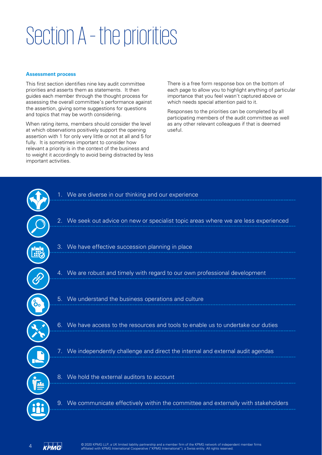## Section A – the priorities

#### **Assessment process**

This first section identifies nine key audit committee priorities and asserts them as statements. It then guides each member through the thought process for assessing the overall committee's performance against the assertion, giving some suggestions for questions and topics that may be worth considering.

When rating items, members should consider the level at which observations positively support the opening assertion with 1 for only very little or not at all and 5 for fully. It is sometimes important to consider how relevant a priority is in the context of the business and to weight it accordingly to avoid being distracted by less important activities.

There is a free form response box on the bottom of each page to allow you to highlight anything of particular importance that you feel wasn't captured above or which needs special attention paid to it.

Responses to the priorities can be completed by all participating members of the audit committee as well as any other relevant colleagues if that is deemed useful.

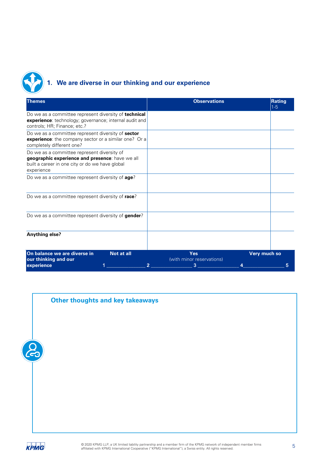

## **1. We are diverse in our thinking and our experience**

| <b>Observations</b>                                                                                             | Rating<br>$1-5$ |
|-----------------------------------------------------------------------------------------------------------------|-----------------|
| Do we as a committee represent diversity of technical<br>experience: technology; governance; internal audit and |                 |
| experience: the company sector or a similar one? Or a                                                           |                 |
|                                                                                                                 |                 |
|                                                                                                                 |                 |
|                                                                                                                 |                 |
|                                                                                                                 |                 |
|                                                                                                                 |                 |
| <b>Yes</b><br>(with minor reservations)                                                                         | Very much so    |
|                                                                                                                 | 3               |

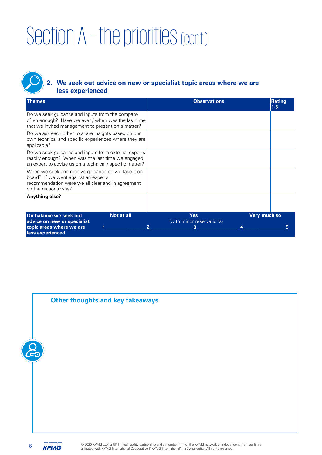## **2. We seek out advice on new or specialist topic areas where we are less experienced**

| <b>Themes</b>                                                                                                                                                          | <b>Observations</b>                                                            | Rating<br>$1 - 5$ |
|------------------------------------------------------------------------------------------------------------------------------------------------------------------------|--------------------------------------------------------------------------------|-------------------|
| Do we seek guidance and inputs from the company<br>often enough? Have we ever / when was the last time<br>that we invited management to present on a matter?           |                                                                                |                   |
| Do we ask each other to share insights based on our<br>own technical and specific experiences where they are<br>applicable?                                            |                                                                                |                   |
| Do we seek guidance and inputs from external experts<br>readily enough? When was the last time we engaged<br>an expert to advise us on a technical / specific matter?  |                                                                                |                   |
| When we seek and receive guidance do we take it on<br>board? If we went against an experts<br>recommendation were we all clear and in agreement<br>on the reasons why? |                                                                                |                   |
| Anything else?                                                                                                                                                         |                                                                                |                   |
| On balance we seek out<br>Not at all<br>advice on new or specialist<br>topic areas where we are<br>less experienced                                                    | <b>Yes</b><br>Very much so<br>(with minor reservations)<br>3<br>$\overline{2}$ |                   |

## **Other thoughts and key takeaways**

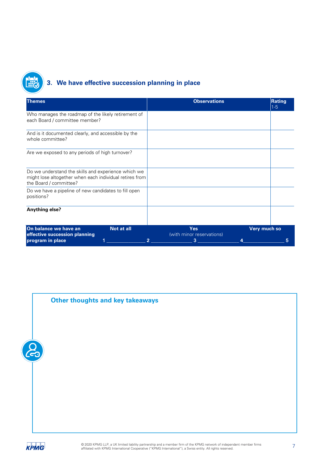

## **3. We have effective succession planning in place**

| <b>Themes</b>                                                                                                                            | <b>Observations</b>                                     | Rating<br>$ 1-5 $ |  |
|------------------------------------------------------------------------------------------------------------------------------------------|---------------------------------------------------------|-------------------|--|
| Who manages the roadmap of the likely retirement of<br>each Board / committee member?                                                    |                                                         |                   |  |
| And is it documented clearly, and accessible by the<br>whole committee?                                                                  |                                                         |                   |  |
| Are we exposed to any periods of high turnover?                                                                                          |                                                         |                   |  |
| Do we understand the skills and experience which we<br>might lose altogether when each individual retires from<br>the Board / committee? |                                                         |                   |  |
| Do we have a pipeline of new candidates to fill open<br>positions?                                                                       |                                                         |                   |  |
| Anything else?                                                                                                                           |                                                         |                   |  |
| On balance we have an<br>Not at all<br>effective succession planning                                                                     | Very much so<br><b>Yes</b><br>(with minor reservations) |                   |  |
| program in place                                                                                                                         | 3<br>$\overline{2}$                                     | 5                 |  |





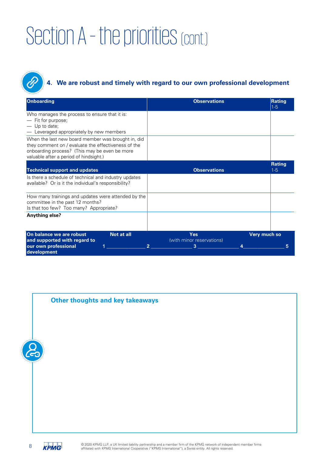E

## **4. We are robust and timely with regard to our own professional development**

| <b>Onboarding</b>                                                                                                                                                                                    | <b>Observations</b>              | Rating<br>$1-5$          |
|------------------------------------------------------------------------------------------------------------------------------------------------------------------------------------------------------|----------------------------------|--------------------------|
| Who manages the process to ensure that it is:<br>— Fit for purpose;<br>Up to date;<br>Leveraged appropriately by new members                                                                         |                                  |                          |
| When the last new board member was brought in, did<br>they comment on / evaluate the effectiveness of the<br>onboarding process? (This may be even be more<br>valuable after a period of hindsight.) |                                  |                          |
| <b>Technical support and updates</b>                                                                                                                                                                 | <b>Observations</b>              | <b>Rating</b><br>$1 - 5$ |
| Is there a schedule of technical and industry updates<br>available? Or is it the individual's responsibility?                                                                                        |                                  |                          |
| How many trainings and updates were attended by the<br>committee in the past 12 months?<br>Is that too few? Too many? Appropriate?                                                                   |                                  |                          |
| Anything else?                                                                                                                                                                                       |                                  |                          |
| On balance we are robust<br>Not at all                                                                                                                                                               | Yes<br>(with minor reservations) | Very much so             |
| and supported with regard to<br>our own professional<br>2<br>development                                                                                                                             | 3                                | 5                        |



© 2020 KPMG LLP, a UK limited liability partnership and a member firm of the KPMG network of independent member firms 8 2020 KPMG LLP, a UK limited liability partnership and a member firm of the KPMG network of indepen<br>affiliated with KPMG International Cooperative ("KPMG International"), a Swiss entity. All rights reserved.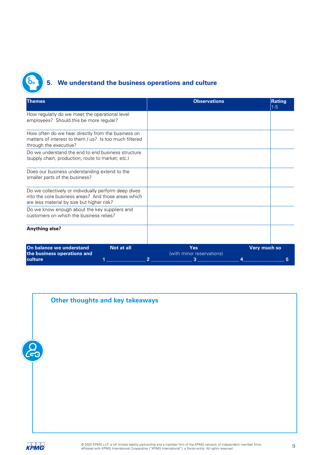

## **5. We understand the business operations and culture**

| <b>Themes</b>                                                                                                                                              | <b>Observations</b>                                     | Rating<br>$1-5$   |  |  |
|------------------------------------------------------------------------------------------------------------------------------------------------------------|---------------------------------------------------------|-------------------|--|--|
| How regularly do we meet the operational level<br>employees? Should this be more regular?                                                                  |                                                         |                   |  |  |
| How often do we hear directly from the business on<br>matters of interest to them / us? Is too much filtered<br>through the executive?                     |                                                         |                   |  |  |
| Do we understand the end to end business structure<br>(supply chain; production; route to market; etc.)                                                    |                                                         |                   |  |  |
| Does our business understanding extend to the<br>smaller parts of the business?                                                                            |                                                         |                   |  |  |
| Do we collectively or individually perform deep dives<br>into the core business areas? And those areas which<br>are less material by size but higher risk? |                                                         |                   |  |  |
| Do we know enough about the key suppliers and<br>customers on which the business relies?                                                                   |                                                         |                   |  |  |
| Anything else?                                                                                                                                             |                                                         |                   |  |  |
| On balance we understand<br>Not at all<br>the business operations and<br>culture                                                                           | Yes<br>(with minor reservations)<br>3<br>$\overline{2}$ | Very much so<br>5 |  |  |
|                                                                                                                                                            |                                                         |                   |  |  |

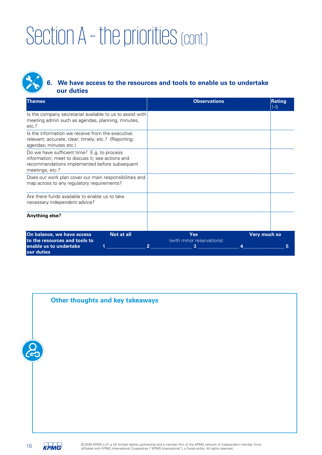

## **6. We have access to the resources and tools to enable us to undertake our duties**

| <b>Themes</b>                                                                                                                                                       | <b>Observations</b>                                        | <b>Rating</b><br>$1-5$ |
|---------------------------------------------------------------------------------------------------------------------------------------------------------------------|------------------------------------------------------------|------------------------|
| Is the company secretariat available to us to assist with<br>meeting admin such as agendas, planning, minutes,<br>etc.?                                             |                                                            |                        |
| Is the information we receive from the executive:<br>relevant; accurate; clear; timely; etc.? (Reporting;<br>agendas; minutes etc.)                                 |                                                            |                        |
| Do we have sufficient time? E.g. to process<br>information; meet to discuss it; see actions and<br>recommendations implemented before subsequent<br>meetings; etc.? |                                                            |                        |
| Does our work plan cover our main responsibilities and<br>map across to any regulatory requirements?                                                                |                                                            |                        |
| Are there funds available to enable us to take<br>necessary independent advice?                                                                                     |                                                            |                        |
| Anything else?                                                                                                                                                      |                                                            |                        |
| On balance, we have access<br>Not at all<br>to the resources and tools to<br>enable us to undertake                                                                 | Yes<br>Very much so<br>(with minor reservations)<br>2<br>3 |                        |
| our duties                                                                                                                                                          |                                                            |                        |



© 2020 KPMG LLP, a UK limited liability partnership and a member firm of the KPMG network of independent member firms <sup>2</sup> <sup>6</sup> 2020 KPMG LLP, a UK limited liability partnership and a member firm of the KPMG network of independent of the KPMG International Cooperative ("KPMG International"), a Swiss entity. All rights reserved.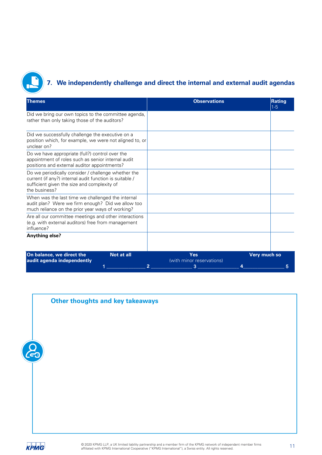

## **7. We independently challenge and direct the internal and external audit agendas**

| <b>Themes</b>                                                                                                                                                                  | <b>Observations</b>                          | Rating<br>$1 - 5$ |
|--------------------------------------------------------------------------------------------------------------------------------------------------------------------------------|----------------------------------------------|-------------------|
| Did we bring our own topics to the committee agenda,<br>rather than only taking those of the auditors?                                                                         |                                              |                   |
| Did we successfully challenge the executive on a<br>position which, for example, we were not aligned to, or<br>unclear on?                                                     |                                              |                   |
| Do we have appropriate (full?) control over the<br>appointment of roles such as senior internal audit<br>positions and external auditor appointments?                          |                                              |                   |
| Do we periodically consider / challenge whether the<br>current (if any?) internal audit function is suitable /<br>sufficient given the size and complexity of<br>the business? |                                              |                   |
| When was the last time we challenged the internal<br>audit plan? Were we firm enough? Did we allow too<br>much reliance on the prior year ways of working?                     |                                              |                   |
| Are all our committee meetings and other interactions<br>(e.g. with external auditors) free from management<br>influence?                                                      |                                              |                   |
| <b>Anything else?</b>                                                                                                                                                          |                                              |                   |
| On balance, we direct the<br><b>Not at all</b><br>audit agenda independently                                                                                                   | <b>Yes</b><br>(with minor reservations)<br>3 | Very much so      |

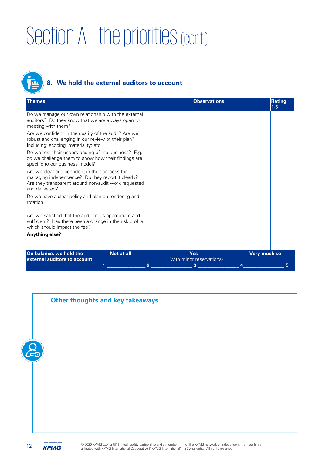

## **8. We hold the external auditors to account**

| <b>Themes</b>                                                                                                                                                                  | <b>Observations</b>              | <b>Rating</b><br>$1-5$ |
|--------------------------------------------------------------------------------------------------------------------------------------------------------------------------------|----------------------------------|------------------------|
| Do we manage our own relationship with the external<br>auditors? Do they know that we are always open to<br>meeting with them?                                                 |                                  |                        |
| Are we confident in the quality of the audit? Are we<br>robust and challenging in our review of their plan?<br>Including: scoping, materiality; etc.                           |                                  |                        |
| Do we test their understanding of the business? E.g.<br>do we challenge them to show how their findings are<br>specific to our business model?                                 |                                  |                        |
| Are we clear and confident in their process for<br>managing independence? Do they report it clearly?<br>Are they transparent around non-audit work requested<br>and delivered? |                                  |                        |
| Do we have a clear policy and plan on tendering and<br>rotation                                                                                                                |                                  |                        |
| Are we satisfied that the audit fee is appropriate and<br>sufficient? Has there been a change in the risk profile<br>which should impact the fee?                              |                                  |                        |
| Anything else?                                                                                                                                                                 |                                  |                        |
| On balance, we hold the<br>Not at all<br>external auditors to account                                                                                                          | Yes<br>(with minor reservations) | Very much so           |

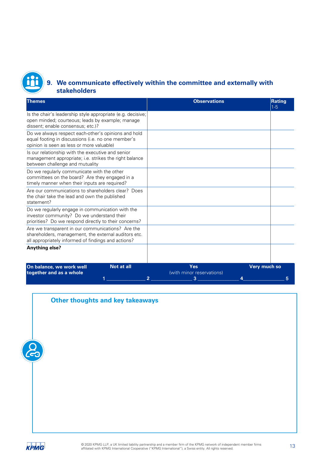

## **9. We communicate effectively within the committee and externally with stakeholders**

| <b>Themes</b>                                                                                                                                                    | <b>Observations</b>                        | Rating<br>$1-5$          |
|------------------------------------------------------------------------------------------------------------------------------------------------------------------|--------------------------------------------|--------------------------|
| Is the chair's leadership style appropriate (e.g. decisive;<br>open minded; courteous; leads by example; manage<br>dissent; enable consensus; etc.)?             |                                            |                          |
| Do we always respect each-other's opinions and hold<br>equal footing in discussions (i.e. no one member's<br>opinion is seen as less or more valuable)           |                                            |                          |
| Is our relationship with the executive and senior<br>management appropriate; i.e. strikes the right balance<br>between challenge and mutuality                   |                                            |                          |
| Do we regularly communicate with the other<br>committees on the board? Are they engaged in a<br>timely manner when their inputs are required?                    |                                            |                          |
| Are our communications to shareholders clear? Does<br>the chair take the lead and own the published<br>statement?                                                |                                            |                          |
| Do we regularly engage in communication with the<br>investor community? Do we understand their<br>priorities? Do we respond directly to their concerns?          |                                            |                          |
| Are we transparent in our communications? Are the<br>shareholders, management, the external auditors etc.<br>all appropriately informed of findings and actions? |                                            |                          |
| <b>Anything else?</b>                                                                                                                                            |                                            |                          |
| On balance, we work well<br><b>Not at all</b><br>together and as a whole                                                                                         | Yes<br>(with minor reservations)<br>3<br>2 | <b>Very much so</b><br>5 |

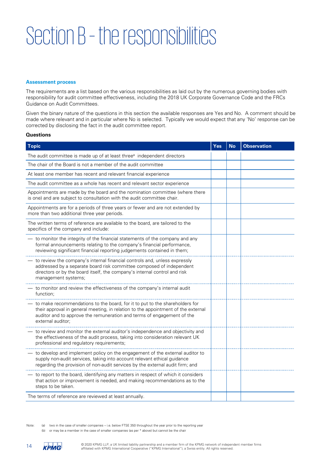## Section B – the responsibilities

### **Assessment process**

The requirements are a list based on the various responsibilities as laid out by the numerous governing bodies with responsibility for audit committee effectiveness, including the 2018 UK Corporate Governance Code and the FRCs Guidance on Audit Committees.

Given the binary nature of the questions in this section the available responses are Yes and No. A comment should be made where relevant and in particular where No is selected. Typically we would expect that any 'No' response can be corrected by disclosing the fact in the audit committee report.

### **Questions**

| <b>Topic</b>                                                                                                                                                                                                                                                    | Yes | <b>No</b> | <b>Observation</b> |
|-----------------------------------------------------------------------------------------------------------------------------------------------------------------------------------------------------------------------------------------------------------------|-----|-----------|--------------------|
| The audit committee is made up of at least three <sup>a</sup> independent directors                                                                                                                                                                             |     |           |                    |
| The chair of the Board is not a member of the audit committee                                                                                                                                                                                                   |     |           |                    |
| At least one member has recent and relevant financial experience                                                                                                                                                                                                |     |           |                    |
| The audit committee as a whole has recent and relevant sector experience                                                                                                                                                                                        |     |           |                    |
| Appointments are made by the board and the nomination committee (where there<br>is one) and are subject to consultation with the audit committee chair.                                                                                                         |     |           |                    |
| Appointments are for a periods of three years or fewer and are not extended by<br>more than two additional three year periods.                                                                                                                                  |     |           |                    |
| The written terms of reference are available to the board, are tailored to the<br>specifics of the company and include:                                                                                                                                         |     |           |                    |
| - to monitor the integrity of the financial statements of the company and any<br>formal announcements relating to the company's financial performance,<br>reviewing significant financial reporting judgements contained in them;                               |     |           |                    |
| - to review the company's internal financial controls and, unless expressly<br>addressed by a separate board risk committee composed of independent<br>directors or by the board itself, the company's internal control and risk<br>management systems;         |     |           |                    |
| to monitor and review the effectiveness of the company's internal audit<br>function;                                                                                                                                                                            |     |           |                    |
| to make recommendations to the board, for it to put to the shareholders for<br>their approval in general meeting, in relation to the appointment of the external<br>auditor and to approve the remuneration and terms of engagement of the<br>external auditor: |     |           |                    |
| to review and monitor the external auditor's independence and objectivity and<br>the effectiveness of the audit process, taking into consideration relevant UK<br>professional and regulatory requirements;                                                     |     |           |                    |
| to develop and implement policy on the engagement of the external auditor to<br>supply non-audit services, taking into account relevant ethical guidance<br>regarding the provision of non-audit services by the external audit firm; and                       |     |           |                    |
| to report to the board, identifying any matters in respect of which it considers<br>that action or improvement is needed, and making recommendations as to the<br>steps to be taken.                                                                            |     |           |                    |
| The terms of reference are reviewed at least annually.                                                                                                                                                                                                          |     |           |                    |

Note: (a) two in the case of smaller companies – i.e. below FTSE 350 throughout the year prior to the reporting year

(b) or may be a member in the case of smaller companies (as per \* above) but cannot be the chair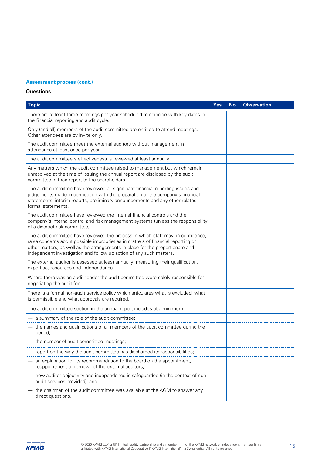## **Assessment process (cont.)**

## **Questions**

| <b>Topic</b>                                                                                                                                                                                                                                                                                                                 | <b>Yes</b> | <b>No</b> | <b>Observation</b> |
|------------------------------------------------------------------------------------------------------------------------------------------------------------------------------------------------------------------------------------------------------------------------------------------------------------------------------|------------|-----------|--------------------|
| There are at least three meetings per year scheduled to coincide with key dates in<br>the financial reporting and audit cycle.                                                                                                                                                                                               |            |           |                    |
| Only (and all) members of the audit committee are entitled to attend meetings.<br>Other attendees are by invite only.                                                                                                                                                                                                        |            |           |                    |
| The audit committee meet the external auditors without management in<br>attendance at least once per year.                                                                                                                                                                                                                   |            |           |                    |
| The audit committee's effectiveness is reviewed at least annually.                                                                                                                                                                                                                                                           |            |           |                    |
| Any matters which the audit committee raised to management but which remain<br>unresolved at the time of issuing the annual report are disclosed by the audit<br>committee in their report to the shareholders.                                                                                                              |            |           |                    |
| The audit committee have reviewed all significant financial reporting issues and<br>judgements made in connection with the preparation of the company's financial<br>statements, interim reports, preliminary announcements and any other related<br>formal statements.                                                      |            |           |                    |
| The audit committee have reviewed the internal financial controls and the<br>company's internal control and risk management systems (unless the responsibility<br>of a discreet risk committee)                                                                                                                              |            |           |                    |
| The audit committee have reviewed the process in which staff may, in confidence,<br>raise concerns about possible improprieties in matters of financial reporting or<br>other matters, as well as the arrangements in place for the proportionate and<br>independent investigation and follow up action of any such matters. |            |           |                    |
| The external auditor is assessed at least annually; measuring their qualification,<br>expertise, resources and independence.                                                                                                                                                                                                 |            |           |                    |
| Where there was an audit tender the audit committee were solely responsible for<br>negotiating the audit fee.                                                                                                                                                                                                                |            |           |                    |
| There is a formal non-audit service policy which articulates what is excluded, what<br>is permissible and what approvals are required.                                                                                                                                                                                       |            |           |                    |
| The audit committee section in the annual report includes at a minimum:                                                                                                                                                                                                                                                      |            |           |                    |
| - a summary of the role of the audit committee;                                                                                                                                                                                                                                                                              |            |           |                    |
| - the names and qualifications of all members of the audit committee during the<br>period;                                                                                                                                                                                                                                   |            |           |                    |
| the number of audit committee meetings;                                                                                                                                                                                                                                                                                      |            |           |                    |
| report on the way the audit committee has discharged its responsibilities;                                                                                                                                                                                                                                                   |            |           |                    |
| an explanation for its recommendation to the board on the appointment,<br>reappointment or removal of the external auditors;                                                                                                                                                                                                 |            |           |                    |
| how auditor objectivity and independence is safeguarded (in the context of non-<br>audit services provided); and                                                                                                                                                                                                             |            |           |                    |
| the chairman of the audit committee was available at the AGM to answer any<br>direct questions.                                                                                                                                                                                                                              |            |           |                    |

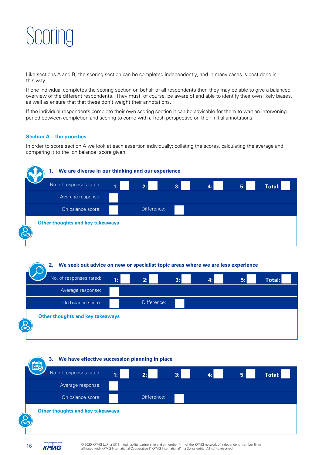

Like sections A and B, the scoring section can be completed independently, and in many cases is best done in this way.

If one individual completes the scoring section on behalf of all respondents then they may be able to give a balanced overview of the different respondents. They must, of course, be aware of and able to identify their own likely biases, as well as ensure that that these don't weight their annotations.

If the individual respondents complete their own scoring section it can be advisable for them to wait an intervening period between completion and scoring to come with a fresh perspective on their initial annotations.

### **Section A – the priorities**

In order to score section A we look at each assertion individually; collating the scores, calculating the average and comparing it to the 'on balance' score given.



**2. We seek out advice on new or specialist topic areas where we are less experience** No. of responses rated: **1: 2: 2: 2: 2: 2: 4: 4: 5:** Average response: On balance score: Difference: ██ Total: **Other thoughts and key takeaways** 





© 2020 KPMG LLP, a UK limited liability partnership and a member firm of the KPMG network of independent member firms <sup>2020</sup> KPMG LLP, a UK limited liability partnership and a member firm of the KPMG network of indepen<br>affiliated with KPMG International Cooperative ("KPMG International"), a Swiss entity. All rights reserved.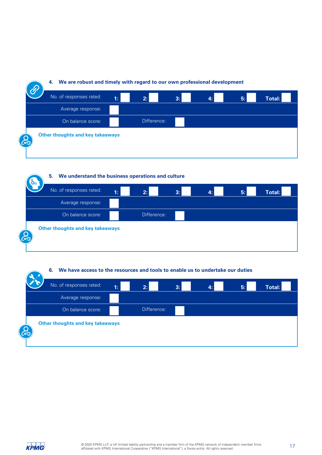

**5. We understand the business operations and culture**



**6. We have access to the resources and tools to enable us to undertake our duties**

| No. of responses rated: | $\mathbf{1:}$                           | 2:          | 3:<br>49 | 5: | Total: |
|-------------------------|-----------------------------------------|-------------|----------|----|--------|
|                         | Average response:                       |             |          |    |        |
|                         | On balance score:                       | Difference: |          |    |        |
| ໃ<:                     | <b>Other thoughts and key takeaways</b> |             |          |    |        |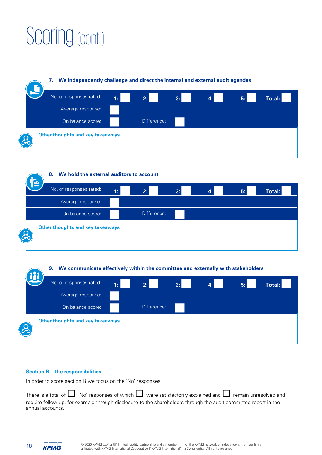## Scoring (cont.)



**8. We hold the external auditors to account**  No. of responses rated: **1: 2: 3: 2: <b>4: 5: E Total:** Average response: On balance score: **I**<br> **Example:** Difference: ██ **Other thoughts and key takeaways** 

**9. We communicate effectively within the committee and externally with stakeholders**

|                      | No. of responses rated:                 | 1: | 2:          | 3: | 5: | Total: |
|----------------------|-----------------------------------------|----|-------------|----|----|--------|
|                      | Average response:                       |    |             |    |    |        |
|                      | On balance score:                       |    | Difference: |    |    |        |
| والمورد<br><u>କେ</u> | <b>Other thoughts and key takeaways</b> |    |             |    |    |        |

### **Section B – the responsibilities**

In order to score section B we focus on the 'No' responses.

There is a total of  $\Box$  'No' responses of which  $\Box$  were satisfactorily explained and  $\Box$  remain unresolved and require follow up, for example through disclosure to the shareholders through the audit committee report in the annual accounts.



o.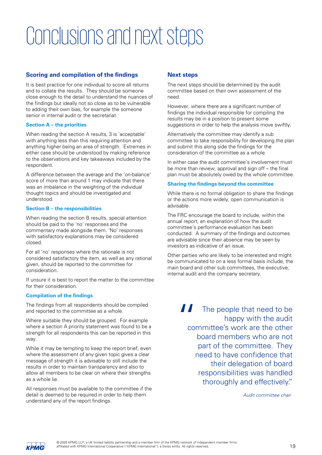## Conclusions and next steps

## **Scoring and compilation of the findings**

It is best practice for one individual to score all returns and to collate the results. They should be someone close enough to the detail to understand the nuances of the findings but ideally not so close as to be vulnerable to adding their own bias, for example the someone senior in internal audit or the secretariat.

### **Section A – the priorities**

When reading the section A results, 3 is 'acceptable' with anything less than this requiring attention and anything higher being an area of strength. Extremes in either case should be understood by making reference to the observations and key takeaways included by the respondent.

A difference between the average and the 'on-balance' score of more than around 1 may indicate that there was an imbalance in the weighting of the individual thought topics and should be investigated and understood.

### **Section B – the responsibilities**

When reading the section B results, special attention should be paid to the 'no' responses and the commentary made alongside them. 'No' responses with satisfactory explanations may be considered closed.

For all 'no' responses where the rationale is not considered satisfactory the item, as well as any rational given, should be reported to the committee for consideration.

If unsure it is best to report the matter to the committee for their consideration.

### **Compilation of the findings**

The findings from all respondents should be compiled and reported to the committee as a whole.

Where suitable they should be grouped. For example where a section A priority statement was found to be a strength for all respondents this can be reported in this way.

While it may be tempting to keep the report brief, even where the assessment of any given topic gives a clear message of strength it is advisable to still include the results in order to maintain transparency and also to allow all members to be clear on where their strengths as a whole lie.

All responses must be available to the committee if the detail is deemed to be required in order to help them understand any of the report findings.

## **Next steps**

The next steps should be determined by the audit committee based on their own assessment of the need.

However, where there are a significant number of findings the individual responsible for compiling the results may be in a position to present some suggestions in order to help the analysis move swiftly.

Alternatively the committee may identify a sub committee to take responsibility for developing the plan and submit this along side the findings for the consideration of the committee as a whole.

In either case the audit committee's involvement must be more than review, approval and sign off – the final plan must be absolutely owed by the whole committee.

### **Sharing the findings beyond the committee**

While there is no formal obligation to share the findings or the actions more widely, open communication is advisable.

The FRC encourage the board to include, within the annual report, an explanation of how the audit committee's performance evaluation has been conducted. A summary of the findings and outcomes are advisable since their absence may be seen by investors as indicative of an issue.

Other parties who are likely to be interested and might be communicated to on a less formal basis include, the main board and other sub committees, the executive, internal audit and the company secretary.

> " The people that need to be happy with the audit committee's work are the other board members who are not part of the committee. They need to have confidence that their delegation of board responsibilities was handled thoroughly and effectively."

> > *Audit* c*ommittee* c*hair*